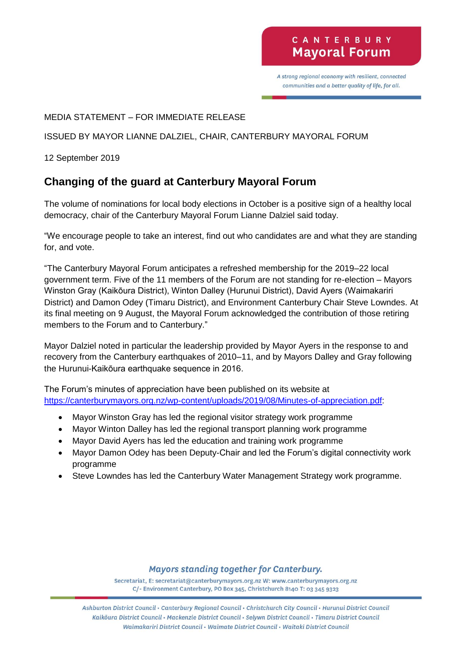# CANTERBURY **Mayoral Forum**

A strong regional economy with resilient, connected communities and a better quality of life, for all.

### MEDIA STATEMENT – FOR IMMEDIATE RELEASE

ISSUED BY MAYOR LIANNE DALZIEL, CHAIR, CANTERBURY MAYORAL FORUM

12 September 2019

## **Changing of the guard at Canterbury Mayoral Forum**

The volume of nominations for local body elections in October is a positive sign of a healthy local democracy, chair of the Canterbury Mayoral Forum Lianne Dalziel said today.

"We encourage people to take an interest, find out who candidates are and what they are standing for, and vote.

"The Canterbury Mayoral Forum anticipates a refreshed membership for the 2019–22 local government term. Five of the 11 members of the Forum are not standing for re-election – Mayors Winston Gray (Kaikōura District), Winton Dalley (Hurunui District), David Ayers (Waimakariri District) and Damon Odey (Timaru District), and Environment Canterbury Chair Steve Lowndes. At its final meeting on 9 August, the Mayoral Forum acknowledged the contribution of those retiring members to the Forum and to Canterbury."

Mayor Dalziel noted in particular the leadership provided by Mayor Ayers in the response to and recovery from the Canterbury earthquakes of 2010–11, and by Mayors Dalley and Gray following the Hurunui-Kaikōura earthquake sequence in 2016.

The Forum's minutes of appreciation have been published on its website at [https://canterburymayors.org.nz/wp-content/uploads/2019/08/Minutes-of-appreciation.pdf:](https://canterburymayors.org.nz/wp-content/uploads/2019/08/Minutes-of-appreciation.pdf)

- Mayor Winston Gray has led the regional visitor strategy work programme
- Mayor Winton Dalley has led the regional transport planning work programme
- Mayor David Ayers has led the education and training work programme
- Mayor Damon Odey has been Deputy-Chair and led the Forum's digital connectivity work programme
- Steve Lowndes has led the Canterbury Water Management Strategy work programme.

### **Mayors standing together for Canterbury.**

Secretariat, E: secretariat@canterburymayors.org.nz W: www.canterburymayors.org.nz C/- Environment Canterbury, PO Box 345, Christchurch 8140 T: 03 345 9323